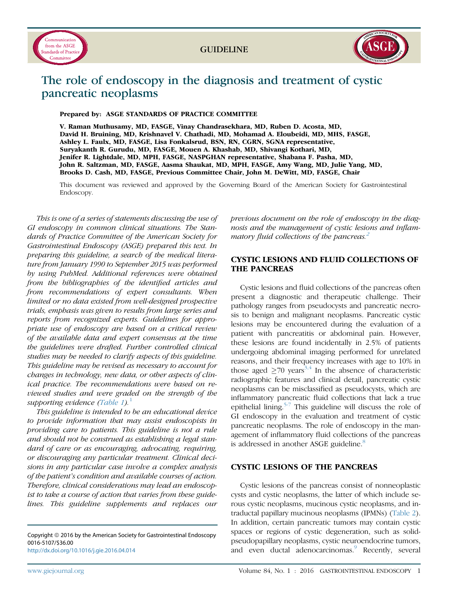



# The role of endoscopy in the diagnosis and treatment of cystic pancreatic neoplasms

Prepared by: ASGE STANDARDS OF PRACTICE COMMITTEE

V. Raman Muthusamy, MD, FASGE, Vinay Chandrasekhara, MD, Ruben D. Acosta, MD, David H. Bruining, MD, Krishnavel V. Chathadi, MD, Mohamad A. Eloubeidi, MD, MHS, FASGE, Ashley L. Faulx, MD, FASGE, Lisa Fonkalsrud, BSN, RN, CGRN, SGNA representative, Suryakanth R. Gurudu, MD, FASGE, Mouen A. Khashab, MD, Shivangi Kothari, MD, Jenifer R. Lightdale, MD, MPH, FASGE, NASPGHAN representative, Shabana F. Pasha, MD, John R. Saltzman, MD, FASGE, Aasma Shaukat, MD, MPH, FASGE, Amy Wang, MD, Julie Yang, MD, Brooks D. Cash, MD, FASGE, Previous Committee Chair, John M. DeWitt, MD, FASGE, Chair

This document was reviewed and approved by the Governing Board of the American Society for Gastrointestinal Endoscopy.

This is one of a series of statements discussing the use of GI endoscopy in common clinical situations. The Standards of Practice Committee of the American Society for Gastrointestinal Endoscopy (ASGE) prepared this text. In preparing this guideline, a search of the medical literature from January 1990 to September 2015 was performed by using PubMed. Additional references were obtained from the bibliographies of the identified articles and from recommendations of expert consultants. When limited or no data existed from well-designed prospective trials, emphasis was given to results from large series and reports from recognized experts. Guidelines for appropriate use of endoscopy are based on a critical review of the available data and expert consensus at the time the guidelines were drafted. Further controlled clinical studies may be needed to clarify aspects of this guideline. This guideline may be revised as necessary to account for changes in technology, new data, or other aspects of clinical practice. The recommendations were based on reviewed studies and were graded on the strength of the supporting evidence [\(Table 1](#page-1-0)).<sup>[1](#page-5-0)</sup>

This guideline is intended to be an educational device to provide information that may assist endoscopists in providing care to patients. This guideline is not a rule and should not be construed as establishing a legal standard of care or as encouraging, advocating, requiring, or discouraging any particular treatment. Clinical decisions in any particular case involve a complex analysis of the patient's condition and available courses of action. Therefore, clinical considerations may lead an endoscopist to take a course of action that varies from these guidelines. This guideline supplements and replaces our

Copyright © 2016 by the American Society for Gastrointestinal Endoscopy 0016-5107/\$36.00 <http://dx.doi.org/10.1016/j.gie.2016.04.014>

previous document on the role of endoscopy in the diagnosis and the management of cystic lesions and inflam-matory fluid collections of the pancreas.<sup>[2](#page-5-0)</sup>

# CYSTIC LESIONS AND FLUID COLLECTIONS OF THE PANCREAS

Cystic lesions and fluid collections of the pancreas often present a diagnostic and therapeutic challenge. Their pathology ranges from pseudocysts and pancreatic necrosis to benign and malignant neoplasms. Pancreatic cystic lesions may be encountered during the evaluation of a patient with pancreatitis or abdominal pain. However, these lesions are found incidentally in 2.5% of patients undergoing abdominal imaging performed for unrelated reasons, and their frequency increases with age to 10% in those aged  $\geq$ 70 years<sup>[3,4](#page-5-0)</sup> In the absence of characteristic radiographic features and clinical detail, pancreatic cystic neoplasms can be misclassified as pseudocysts, which are inflammatory pancreatic fluid collections that lack a true epithelial lining.<sup>[5-7](#page-5-0)</sup> This guideline will discuss the role of GI endoscopy in the evaluation and treatment of cystic pancreatic neoplasms. The role of endoscopy in the management of inflammatory fluid collections of the pancreas is addressed in another ASGE guideline.<sup>[8](#page-5-0)</sup>

#### CYSTIC LESIONS OF THE PANCREAS

Cystic lesions of the pancreas consist of nonneoplastic cysts and cystic neoplasms, the latter of which include serous cystic neoplasms, mucinous cystic neoplasms, and intraductal papillary mucinous neoplasms (IPMNs) [\(Table 2\)](#page-3-0). In addition, certain pancreatic tumors may contain cystic spaces or regions of cystic degeneration, such as solidpseudopapillary neoplasms, cystic neuroendocrine tumors, and even ductal adenocarcinomas.<sup>[9](#page-5-0)</sup> Recently, several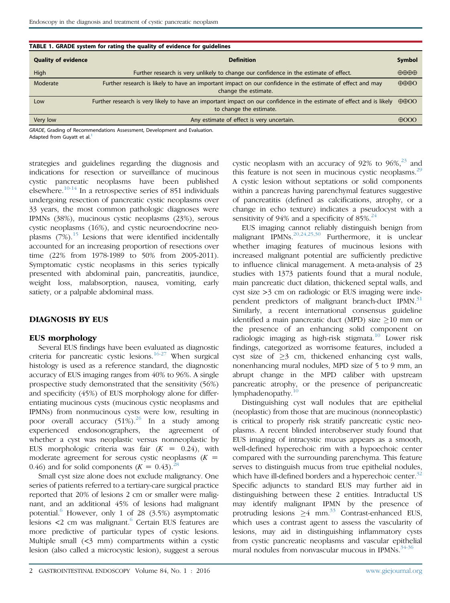<span id="page-1-0"></span>

| TABLE 1. GRADE system for rating the quality of evidence for guidelines |                                                                                                                                                  |                               |  |  |  |  |
|-------------------------------------------------------------------------|--------------------------------------------------------------------------------------------------------------------------------------------------|-------------------------------|--|--|--|--|
| <b>Quality of evidence</b><br><b>Definition</b>                         |                                                                                                                                                  | Symbol                        |  |  |  |  |
| High                                                                    | Further research is very unlikely to change our confidence in the estimate of effect.                                                            | $\oplus \oplus \oplus \oplus$ |  |  |  |  |
| Moderate                                                                | Further research is likely to have an important impact on our confidence in the estimate of effect and may<br>change the estimate.               | $\oplus \oplus \oplus$        |  |  |  |  |
| Low                                                                     | Further research is very likely to have an important impact on our confidence in the estimate of effect and is likely<br>to change the estimate. | $\oplus$ $\oplus$ OO          |  |  |  |  |
| Very low                                                                | Any estimate of effect is very uncertain.                                                                                                        | $\oplus$ OOO                  |  |  |  |  |

GRADE, Grading of Recommendations Assessment, Development and Evaluation. Adapted from Guvatt et al.<sup>[1](#page-5-0)</sup>

strategies and guidelines regarding the diagnosis and indications for resection or surveillance of mucinous cystic pancreatic neoplasms have been published elsewhere.[10-14](#page-5-0) In a retrospective series of 851 individuals undergoing resection of pancreatic cystic neoplasms over 33 years, the most common pathologic diagnoses were IPMNs (38%), mucinous cystic neoplasms (23%), serous cystic neoplasms (16%), and cystic neuroendocrine neoplasms  $(7%)$ .<sup>[15](#page-6-0)</sup> Lesions that were identified incidentally accounted for an increasing proportion of resections over time (22% from 1978-1989 to 50% from 2005-2011). Symptomatic cystic neoplasms in this series typically presented with abdominal pain, pancreatitis, jaundice, weight loss, malabsorption, nausea, vomiting, early satiety, or a palpable abdominal mass.

#### DIAGNOSIS BY EUS

#### EUS morphology

Several EUS findings have been evaluated as diagnostic criteria for pancreatic cystic lesions.<sup>[16-27](#page-6-0)</sup> When surgical histology is used as a reference standard, the diagnostic accuracy of EUS imaging ranges from 40% to 96%. A single prospective study demonstrated that the sensitivity (56%) and specificity (45%) of EUS morphology alone for differentiating mucinous cysts (mucinous cystic neoplasms and IPMNs) from nonmucinous cysts were low, resulting in poor overall accuracy  $(51\%)^{26}$  $(51\%)^{26}$  $(51\%)^{26}$  In a study among experienced endosonographers, the agreement of whether a cyst was neoplastic versus nonneoplastic by EUS morphologic criteria was fair  $(K = 0.24)$ , with moderate agreement for serous cystic neoplasms  $(K =$ 0.46) and for solid components  $(K = 0.43)$ .<sup>[28](#page-6-0)</sup>

Small cyst size alone does not exclude malignancy. One series of patients referred to a tertiary-care surgical practice reported that 20% of lesions 2 cm or smaller were malignant, and an additional 45% of lesions had malignant potential. $6$  However, only 1 of 28 (3.5%) asymptomatic lesions  $\lt 2$  cm was malignant.<sup>[6](#page-5-0)</sup> Certain EUS features are more predictive of particular types of cystic lesions. Multiple small  $(\leq 3$  mm) compartments within a cystic lesion (also called a microcystic lesion), suggest a serous cystic neoplasm with an accuracy of  $92\%$  to  $96\%$ <sup>[23](#page-6-0)</sup> and this feature is not seen in mucinous cystic neoplasms. $^{29}$  $^{29}$  $^{29}$ A cystic lesion without septations or solid components within a pancreas having parenchymal features suggestive of pancreatitis (defined as calcifications, atrophy, or a change in echo texture) indicates a pseudocyst with a sensitivity of 94% and a specificity of 85%. $24$ 

EUS imaging cannot reliably distinguish benign from malignant IPMNs.  $20,24,25,30$  Furthermore, it is unclear whether imaging features of mucinous lesions with increased malignant potential are sufficiently predictive to influence clinical management. A meta-analysis of 23 studies with 1373 patients found that a mural nodule, main pancreatic duct dilation, thickened septal walls, and cyst size >3 cm on radiologic or EUS imaging were inde-pendent predictors of malignant branch-duct IPMN.<sup>[31](#page-6-0)</sup> Similarly, a recent international consensus guideline identified a main pancreatic duct (MPD) size  $\geq$ 10 mm or the presence of an enhancing solid component on radiologic imaging as high-risk stigmata.<sup>[10](#page-5-0)</sup> Lower risk findings, categorized as worrisome features, included a cyst size of  $\geq$ 3 cm, thickened enhancing cyst walls, nonenhancing mural nodules, MPD size of 5 to 9 mm, an abrupt change in the MPD caliber with upstream pancreatic atrophy, or the presence of peripancreatic lymphadenopathy. $10$ 

Distinguishing cyst wall nodules that are epithelial (neoplastic) from those that are mucinous (nonneoplastic) is critical to properly risk stratify pancreatic cystic neoplasms. A recent blinded interobserver study found that EUS imaging of intracystic mucus appears as a smooth, well-defined hyperechoic rim with a hypoechoic center compared with the surrounding parenchyma. This feature serves to distinguish mucus from true epithelial nodules, which have ill-defined borders and a hyperechoic center.<sup>[32](#page-6-0)</sup> Specific adjuncts to standard EUS may further aid in distinguishing between these 2 entities. Intraductal US may identify malignant IPMN by the presence of protruding lesions  $\geq 4$  mm.<sup>[33](#page-6-0)</sup> Contrast-enhanced EUS, which uses a contrast agent to assess the vascularity of lesions, may aid in distinguishing inflammatory cysts from cystic pancreatic neoplasms and vascular epithelial mural nodules from nonvascular mucous in IPMNs. $34-36$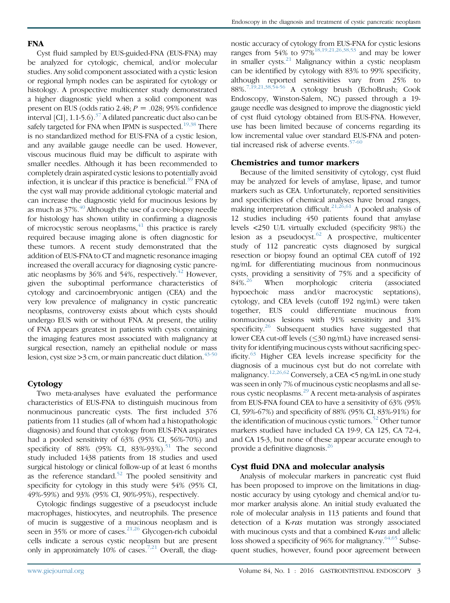## **FNA**

Cyst fluid sampled by EUS-guided-FNA (EUS-FNA) may be analyzed for cytologic, chemical, and/or molecular studies. Any solid component associated with a cystic lesion or regional lymph nodes can be aspirated for cytology or histology. A prospective multicenter study demonstrated a higher diagnostic yield when a solid component was present on EUS (odds ratio 2.48;  $P = .028$ ; 95% confidence interval  $\left[CI\right]$ , 1.1-5.6).<sup>[37](#page-6-0)</sup> A dilated pancreatic duct also can be safely targeted for FNA when IPMN is suspected.<sup>[19,38](#page-6-0)</sup> There is no standardized method for EUS-FNA of a cystic lesion, and any available gauge needle can be used. However, viscous mucinous fluid may be difficult to aspirate with smaller needles. Although it has been recommended to completely drain aspirated cystic lesions to potentially avoid infection, it is unclear if this practice is beneficial.<sup>[39](#page-6-0)</sup> FNA of the cyst wall may provide additional cytologic material and can increase the diagnostic yield for mucinous lesions by as much as  $37\%$ .<sup>[40](#page-6-0)</sup> Although the use of a core-biopsy needle for histology has shown utility in confirming a diagnosis of microcystic serous neoplasms, $41$  this practice is rarely required because imaging alone is often diagnostic for these tumors. A recent study demonstrated that the addition of EUS-FNA to CT and magnetic resonance imaging increased the overall accuracy for diagnosing cystic pancreatic neoplasms by  $36\%$  and  $54\%$ , respectively.<sup>[42](#page-6-0)</sup> However, given the suboptimal performance characteristics of cytology and carcinoembryonic antigen (CEA) and the very low prevalence of malignancy in cystic pancreatic neoplasms, controversy exists about which cysts should undergo EUS with or without FNA. At present, the utility of FNA appears greatest in patients with cysts containing the imaging features most associated with malignancy at surgical resection, namely an epithelial nodule or mass lesion, cyst size  $\geq$ 3 cm, or main pancreatic duct dilation.<sup>[43-50](#page-6-0)</sup>

# **Cytology**

Two meta-analyses have evaluated the performance characteristics of EUS-FNA to distinguish mucinous from nonmucinous pancreatic cysts. The first included 376 patients from 11 studies (all of whom had a histopathologic diagnosis) and found that cytology from EUS-FNA aspirates had a pooled sensitivity of 63% (95% CI, 56%-70%) and specificity of 88% (95% CI, 83%-93%).<sup>[51](#page-6-0)</sup> The second study included 1438 patients from 18 studies and used surgical histology or clinical follow-up of at least 6 months as the reference standard.<sup>[52](#page-6-0)</sup> The pooled sensitivity and specificity for cytology in this study were 54% (95% CI, 49%-59%) and 93% (95% CI, 90%-95%), respectively.

Cytologic findings suggestive of a pseudocyst include macrophages, histiocytes, and neutrophils. The presence of mucin is suggestive of a mucinous neoplasm and is seen in 35% or more of cases. $21,26$  Glycogen-rich cuboidal cells indicate a serous cystic neoplasm but are present only in approximately 10% of cases.<sup>[7,21](#page-5-0)</sup> Overall, the diagnostic accuracy of cytology from EUS-FNA for cystic lesions ranges from 54% to 97%<sup>[18,19,21,26,38,53](#page-6-0)</sup> and may be lower in smaller cysts. $^{21}$  $^{21}$  $^{21}$  Malignancy within a cystic neoplasm can be identified by cytology with 83% to 99% specificity, although reported sensitivities vary from 25% to 88%.[7,19,21,38,54-56](#page-5-0) A cytology brush (EchoBrush; Cook Endoscopy, Winston-Salem, NC) passed through a 19 gauge needle was designed to improve the diagnostic yield of cyst fluid cytology obtained from EUS-FNA. However, use has been limited because of concerns regarding its low incremental value over standard EUS-FNA and poten-tial increased risk of adverse events.<sup>[57-60](#page-7-0)</sup>

#### Chemistries and tumor markers

Because of the limited sensitivity of cytology, cyst fluid may be analyzed for levels of amylase, lipase, and tumor markers such as CEA. Unfortunately, reported sensitivities and specificities of chemical analyses have broad ranges, making interpretation difficult.<sup>[21,26,61](#page-6-0)</sup> A pooled analysis of 12 studies including 450 patients found that amylase levels <250 U/L virtually excluded (specificity 98%) the lesion as a pseudocyst.[62](#page-7-0) A prospective, multicenter study of 112 pancreatic cysts diagnosed by surgical resection or biopsy found an optimal CEA cutoff of 192 ng/mL for differentiating mucinous from nonmucinous cysts, providing a sensitivity of 75% and a specificity of  $84\%$ <sup>[26](#page-6-0)</sup> When morphologic criteria (associated hypoechoic mass and/or macrocystic septations), cytology, and CEA levels (cutoff 192 ng/mL) were taken together, EUS could differentiate mucinous from nonmucinous lesions with 91% sensitivity and 31% specificity. $26$  Subsequent studies have suggested that lower CEA cut-off levels (30 ng/mL) have increased sensitivity for identifying mucinous cysts without sacrificing specificity.[63](#page-7-0) Higher CEA levels increase specificity for the diagnosis of a mucinous cyst but do not correlate with malignancy.[12,26,62](#page-5-0) Conversely, a CEA <5 ng/mL in one study was seen in only 7% of mucinous cystic neoplasms and all serous cystic neoplasms.[29](#page-6-0) A recent meta-analysis of aspirates from EUS-FNA found CEA to have a sensitivity of 63% (95% CI, 59%-67%) and specificity of 88% (95% CI, 83%-91%) for the identification of mucinous cystic tumors.<sup>[52](#page-6-0)</sup> Other tumor markers studied have included CA 19-9, CA 125, CA 72-4, and CA 15-3, but none of these appear accurate enough to provide a definitive diagnosis.<sup>[26](#page-6-0)</sup>

#### Cyst fluid DNA and molecular analysis

Analysis of molecular markers in pancreatic cyst fluid has been proposed to improve on the limitations in diagnostic accuracy by using cytology and chemical and/or tumor marker analysis alone. An initial study evaluated the role of molecular analysis in 113 patients and found that detection of a K-ras mutation was strongly associated with mucinous cysts and that a combined K-ras and allelic loss showed a specificity of 96% for malignancy. $64,65$  Subsequent studies, however, found poor agreement between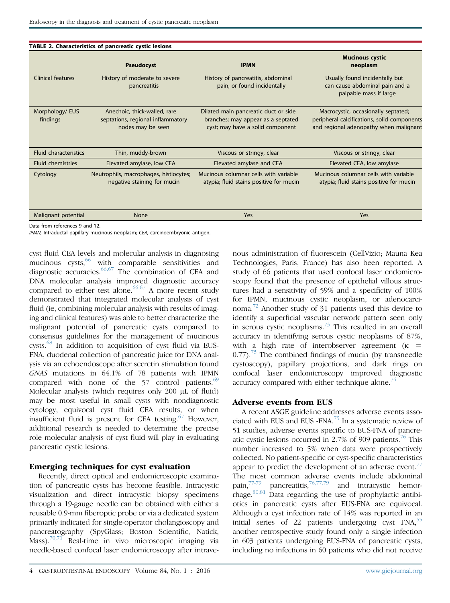<span id="page-3-0"></span>

| TABLE 2. Characteristics of pancreatic cystic lesions |                                                                                        |                                                                                                                |                                                                                                                              |  |  |  |
|-------------------------------------------------------|----------------------------------------------------------------------------------------|----------------------------------------------------------------------------------------------------------------|------------------------------------------------------------------------------------------------------------------------------|--|--|--|
|                                                       | <b>Pseudocyst</b>                                                                      | <b>IPMN</b>                                                                                                    | <b>Mucinous cystic</b><br>neoplasm                                                                                           |  |  |  |
| Clinical features                                     | History of moderate to severe<br>pancreatitis                                          | History of pancreatitis, abdominal<br>pain, or found incidentally                                              | Usually found incidentally but<br>can cause abdominal pain and a<br>palpable mass if large                                   |  |  |  |
| Morphology/ EUS<br>findings                           | Anechoic, thick-walled, rare<br>septations, regional inflammatory<br>nodes may be seen | Dilated main pancreatic duct or side<br>branches; may appear as a septated<br>cyst; may have a solid component | Macrocystic, occasionally septated;<br>peripheral calcifications, solid components<br>and regional adenopathy when malignant |  |  |  |
| <b>Fluid characteristics</b>                          | Thin, muddy-brown                                                                      | Viscous or stringy, clear                                                                                      | Viscous or stringy, clear                                                                                                    |  |  |  |
| <b>Fluid chemistries</b>                              | Elevated amylase, low CEA                                                              | Elevated amylase and CEA                                                                                       | Elevated CEA, low amylase                                                                                                    |  |  |  |
| Cytology                                              | Neutrophils, macrophages, histiocytes;<br>negative staining for mucin                  | Mucinous columnar cells with variable<br>atypia; fluid stains positive for mucin                               | Mucinous columnar cells with variable<br>atypia; fluid stains positive for mucin                                             |  |  |  |
| Malignant potential                                   | None                                                                                   | Yes                                                                                                            | Yes                                                                                                                          |  |  |  |

Data from references 9 and 12.

IPMN, Intraductal papillary mucinous neoplasm; CEA, carcinoembryonic antigen.

cyst fluid CEA levels and molecular analysis in diagnosing mucinous  $cysts$ , with comparable sensitivities and diagnostic accuracies.  $66,67$  The combination of CEA and DNA molecular analysis improved diagnostic accuracy compared to either test alone.<sup>[66,67](#page-7-0)</sup> A more recent study demonstrated that integrated molecular analysis of cyst fluid (ie, combining molecular analysis with results of imaging and clinical features) was able to better characterize the malignant potential of pancreatic cysts compared to consensus guidelines for the management of mucinous cysts.[68](#page-7-0) In addition to acquisition of cyst fluid via EUS-FNA, duodenal collection of pancreatic juice for DNA analysis via an echoendoscope after secretin stimulation found GNAS mutations in 64.1% of 78 patients with IPMN compared with none of the 57 control patients.<sup>[69](#page-7-0)</sup> Molecular analysis (which requires only 200 µL of fluid) may be most useful in small cysts with nondiagnostic cytology, equivocal cyst fluid CEA results, or when insufficient fluid is present for CEA testing. $67$  However, additional research is needed to determine the precise role molecular analysis of cyst fluid will play in evaluating pancreatic cystic lesions.

#### Emerging techniques for cyst evaluation

Recently, direct optical and endomicroscopic examination of pancreatic cysts has become feasible. Intracystic visualization and direct intracystic biopsy specimens through a 19-gauge needle can be obtained with either a reusable 0.9-mm fiberoptic probe or via a dedicated system primarily indicated for single-operator cholangioscopy and pancreatography (SpyGlass; Boston Scientific, Natick, Mass).<sup>[70,71](#page-7-0)</sup> Real-time in vivo microscopic imaging via needle-based confocal laser endomicroscopy after intravenous administration of fluorescein (CellVizio; Mauna Kea Technologies, Paris, France) has also been reported. A study of 66 patients that used confocal laser endomicroscopy found that the presence of epithelial villous structures had a sensitivity of 59% and a specificity of 100% for IPMN, mucinous cystic neoplasm, or adenocarcinoma.[72](#page-7-0) Another study of 31 patients used this device to identify a superficial vascular network pattern seen only in serous cystic neoplasms.<sup>[73](#page-7-0)</sup> This resulted in an overall accuracy in identifying serous cystic neoplasms of 87%, with a high rate of interobserver agreement  $(\kappa$  =  $0.77$ ).<sup>[73](#page-7-0)</sup> The combined findings of mucin (by transneedle cystoscopy), papillary projections, and dark rings on confocal laser endomicroscopy improved diagnostic accuracy compared with either technique alone.<sup>[74](#page-7-0)</sup>

## Adverse events from EUS

A recent ASGE guideline addresses adverse events asso-ciated with EUS and EUS -FNA.<sup>[75](#page-7-0)</sup> In a systematic review of 51 studies, adverse events specific to EUS-FNA of pancre-atic cystic lesions occurred in 2.7% of 909 patients.<sup>[76](#page-7-0)</sup> This number increased to 5% when data were prospectively collected. No patient-specific or cyst-specific characteristics appear to predict the development of an adverse event.<sup>[77](#page-7-0)</sup> The most common adverse events include abdominal pain, $77-79$  pancreatitis, $76,77,79$  and intracystic hemorrhage. $80,81$  Data regarding the use of prophylactic antibiotics in pancreatic cysts after EUS-FNA are equivocal. Although a cyst infection rate of 14% was reported in an initial series of 22 patients undergoing cyst  $FNA$ ,  $^{55}$  $^{55}$  $^{55}$ another retrospective study found only a single infection in 603 patients undergoing EUS-FNA of pancreatic cysts, including no infections in 60 patients who did not receive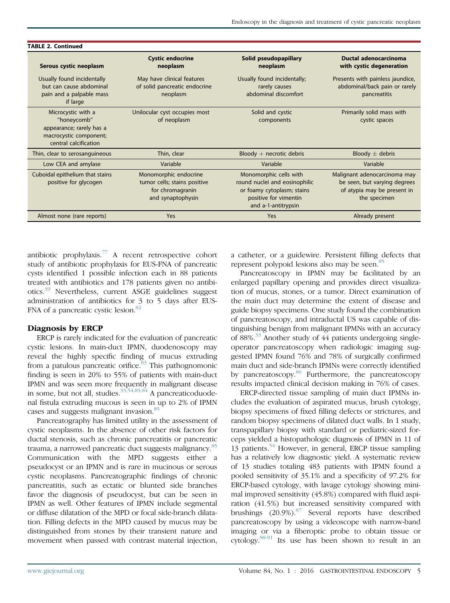| <b>TABLE 2. Continued</b>                                                                                        |                                                                                                |                                                                                                                                       |                                                                                                             |  |  |  |
|------------------------------------------------------------------------------------------------------------------|------------------------------------------------------------------------------------------------|---------------------------------------------------------------------------------------------------------------------------------------|-------------------------------------------------------------------------------------------------------------|--|--|--|
| Serous cystic neoplasm                                                                                           | <b>Cystic endocrine</b><br>neoplasm                                                            | Solid pseudopapillary<br>neoplasm                                                                                                     | <b>Ductal adenocarcinoma</b><br>with cystic degeneration                                                    |  |  |  |
| Usually found incidentally<br>but can cause abdominal<br>pain and a palpable mass<br>if large                    | May have clinical features<br>of solid pancreatic endocrine<br>neoplasm                        | Usually found incidentally;<br>rarely causes<br>abdominal discomfort                                                                  | Presents with painless jaundice,<br>abdominal/back pain or rarely<br>pancreatitis                           |  |  |  |
| Microcystic with a<br>"honeycomb"<br>appearance; rarely has a<br>macrocystic component;<br>central calcification | Unilocular cyst occupies most<br>of neoplasm                                                   | Solid and cystic<br>components                                                                                                        | Primarily solid mass with<br>cystic spaces                                                                  |  |  |  |
| Thin, clear to serosanguineous                                                                                   | Thin, clear                                                                                    | $B$ loody + necrotic debris                                                                                                           | Bloody $\pm$ debris                                                                                         |  |  |  |
| Low CEA and amylase                                                                                              | Variable                                                                                       | Variable                                                                                                                              | Variable                                                                                                    |  |  |  |
| Cuboidal epithelium that stains<br>positive for glycogen                                                         | Monomorphic endocrine<br>tumor cells; stains positive<br>for chromagranin<br>and synaptophysin | Monomorphic cells with<br>round nuclei and eosinophilic<br>or foamy cytoplasm; stains<br>positive for vimentin<br>and a-1-antitrypsin | Malignant adenocarcinoma may<br>be seen, but varying degrees<br>of atypia may be present in<br>the specimen |  |  |  |
| Almost none (rare reports)                                                                                       | Yes                                                                                            | Yes                                                                                                                                   | Already present                                                                                             |  |  |  |

antibiotic prophylaxis.[77](#page-7-0) A recent retrospective cohort study of antibiotic prophylaxis for EUS-FNA of pancreatic cysts identified 1 possible infection each in 88 patients treated with antibiotics and 178 patients given no antibiotics.[39](#page-6-0) Nevertheless, current ASGE guidelines suggest administration of antibiotics for 3 to 5 days after EUS-FNA of a pancreatic cystic lesion.<sup>[82](#page-7-0)</sup>

#### Diagnosis by ERCP

ERCP is rarely indicated for the evaluation of pancreatic cystic lesions. In main-duct IPMN, duodenoscopy may reveal the highly specific finding of mucus extruding from a patulous pancreatic orifice.<sup>[83](#page-7-0)</sup> This pathognomonic finding is seen in 20% to 55% of patients with main-duct IPMN and was seen more frequently in malignant disease in some, but not all, studies.  $33,54,83,84$  A pancreaticoduodenal fistula extruding mucous is seen in up to 2% of IPMN cases and suggests malignant invasion.<sup>[85](#page-7-0)</sup>

Pancreatography has limited utility in the assessment of cystic neoplasms. In the absence of other risk factors for ductal stenosis, such as chronic pancreatitis or pancreatic trauma, a narrowed pancreatic duct suggests malignancy.<sup>[85](#page-7-0)</sup> Communication with the MPD suggests either a pseudocyst or an IPMN and is rare in mucinous or serous cystic neoplasms. Pancreatographic findings of chronic pancreatitis, such as ectatic or blunted side branches favor the diagnosis of pseudocyst, but can be seen in IPMN as well. Other features of IPMN include segmental or diffuse dilatation of the MPD or focal side-branch dilatation. Filling defects in the MPD caused by mucus may be distinguished from stones by their transient nature and movement when passed with contrast material injection,

a catheter, or a guidewire. Persistent filling defects that represent polypoid lesions also may be seen.<sup>[85](#page-7-0)</sup>

Pancreatoscopy in IPMN may be facilitated by an enlarged papillary opening and provides direct visualization of mucus, stones, or a tumor. Direct examination of the main duct may determine the extent of disease and guide biopsy specimens. One study found the combination of pancreatoscopy, and intraductal US was capable of distinguishing benign from malignant IPMNs with an accuracy of 88%. $33$  Another study of 44 patients undergoing singleoperator pancreatoscopy when radiologic imaging suggested IPMN found 76% and 78% of surgically confirmed main duct and side-branch IPMNs were correctly identified by pancreatoscopy.<sup>[86](#page-7-0)</sup> Furthermore, the pancreatoscopy results impacted clinical decision making in 76% of cases.

ERCP-directed tissue sampling of main duct IPMNs includes the evaluation of aspirated mucus, brush cytology, biopsy specimens of fixed filling defects or strictures, and random biopsy specimens of dilated duct walls. In 1 study, transpapillary biopsy with standard or pediatric-sized forceps yielded a histopathologic diagnosis of IPMN in 11 of 13 patients.<sup>[54](#page-7-0)</sup> However, in general, ERCP tissue sampling has a relatively low diagnostic yield. A systematic review of 13 studies totaling 483 patients with IPMN found a pooled sensitivity of 35.1% and a specificity of 97.2% for ERCP-based cytology, with lavage cytology showing minimal improved sensitivity (45.8%) compared with fluid aspiration (41.5%) but increased sensitivity compared with brushings  $(20.9\%)$ .<sup>[87](#page-7-0)</sup> Several reports have described pancreatoscopy by using a videoscope with narrow-band imaging or via a fiberoptic probe to obtain tissue or cytology.[88-91](#page-7-0) Its use has been shown to result in an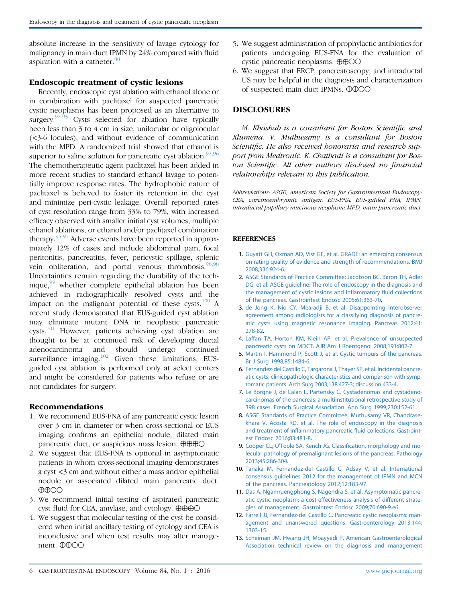<span id="page-5-0"></span>absolute increase in the sensitivity of lavage cytology for malignancy in main duct IPMN by 24% compared with fluid aspiration with a catheter.<sup>[88](#page-7-0)</sup>

#### Endoscopic treatment of cystic lesions

Recently, endoscopic cyst ablation with ethanol alone or in combination with paclitaxel for suspected pancreatic cystic neoplasms has been proposed as an alternative to surgery.<sup>[92-95](#page-7-0)</sup> Cysts selected for ablation have typically been less than 3 to 4 cm in size, unilocular or oligolocular (<3-6 locules), and without evidence of communication with the MPD. A randomized trial showed that ethanol is superior to saline solution for pancreatic cyst ablation.<sup>[92,96](#page-7-0)</sup> The chemotherapeutic agent paclitaxel has been added in more recent studies to standard ethanol lavage to potentially improve response rates. The hydrophobic nature of paclitaxel is believed to foster its retention in the cyst and minimize peri-cystic leakage. Overall reported rates of cyst resolution range from 33% to 79%, with increased efficacy observed with smaller initial cyst volumes, multiple ethanol ablations, or ethanol and/or paclitaxel combination therapy.[95-97](#page-8-0) Adverse events have been reported in approximately 12% of cases and include abdominal pain, focal peritonitis, pancreatitis, fever, pericystic spillage, splenic vein obliteration, and portal venous thrombosis. $96,98$ Uncertainties remain regarding the durability of the technique, $99$  whether complete epithelial ablation has been achieved in radiographically resolved cysts and the impact on the malignant potential of these cysts.<sup>[100](#page-8-0)</sup> A recent study demonstrated that EUS-guided cyst ablation may eliminate mutant DNA in neoplastic pancreatic cysts.<sup>[101](#page-8-0)</sup> However, patients achieving cyst ablation are thought to be at continued risk of developing ductal adenocarcinoma and should undergo continued surveillance imaging. $102$  Given these limitations, EUSguided cyst ablation is performed only at select centers and might be considered for patients who refuse or are not candidates for surgery.

#### Recommendations

- 1. We recommend EUS-FNA of any pancreatic cystic lesion over 3 cm in diameter or when cross-sectional or EUS imaging confirms an epithelial nodule, dilated main pancreatic duct, or suspicious mass lesion.  $\oplus \oplus \oplus \odot$
- 2. We suggest that EUS-FNA is optional in asymptomatic patients in whom cross-sectional imaging demonstrates a cyst <3 cm and without either a mass and/or epithelial nodule or associated dilated main pancreatic duct.  $\bigoplus$  $\bigodot$
- 3. We recommend initial testing of aspirated pancreatic cyst fluid for CEA, amylase, and cytology.  $\oplus \oplus \oplus \odot$
- 4. We suggest that molecular testing of the cyst be considered when initial ancillary testing of cytology and CEA is inconclusive and when test results may alter management.  $\oplus$  $\oplus$ OO
- 5. We suggest administration of prophylactic antibiotics for patients undergoing EUS-FNA for the evaluation of cystic pancreatic neoplasms.  $\oplus$  $\oplus$ OO
- 6. We suggest that ERCP, pancreatoscopy, and intraductal US may be helpful in the diagnosis and characterization of suspected main duct IPMNs.  $\bigoplus$  $\bigoplus$ OO

## DISCLOSURES

M. Khashab is a consultant for Boston Scientific and Xlumena. V. Muthusamy is a consultant for Boston Scientific. He also received honoraria and research support from Medtronic. K. Chathadi is a consultant for Boston Scientific. All other authors disclosed no financial relationships relevant to this publication.

Abbreviations: ASGE, American Society for Gastrointestinal Endoscopy; CEA, carcinoembryonic antigen; EUS-FNA, EUS-guided FNA; IPMN, intraductal papillary mucinous neoplasm; MPD, main pancreatic duct.

#### **REFERENCES**

- 1. [Guyatt GH, Oxman AD, Vist GE, et al. GRADE: an emerging consensus](http://refhub.elsevier.com/S0016-5107(16)30060-8/sref1) [on rating quality of evidence and strength of recommendations. BMJ](http://refhub.elsevier.com/S0016-5107(16)30060-8/sref1) [2008;336:924-6](http://refhub.elsevier.com/S0016-5107(16)30060-8/sref1).
- 2. [ASGE Standards of Practice Committee; Jacobson BC, Baron TH, Adler](http://refhub.elsevier.com/S0016-5107(16)30060-8/sref2) [DG, et al. ASGE guideline: The role of endoscopy in the diagnosis and](http://refhub.elsevier.com/S0016-5107(16)30060-8/sref2) [the management of cystic lesions and inflammatory fluid collections](http://refhub.elsevier.com/S0016-5107(16)30060-8/sref2) [of the pancreas. Gastrointest Endosc 2005;61:363-70](http://refhub.elsevier.com/S0016-5107(16)30060-8/sref2).
- 3. [de Jong K, Nio CY, Mearadji B, et al. Disappointing interobserver](http://refhub.elsevier.com/S0016-5107(16)30060-8/sref3) [agreement among radiologists for a classifying diagnosis of pancre](http://refhub.elsevier.com/S0016-5107(16)30060-8/sref3)[atic cysts using magnetic resonance imaging. Pancreas 2012;41:](http://refhub.elsevier.com/S0016-5107(16)30060-8/sref3) [278-82.](http://refhub.elsevier.com/S0016-5107(16)30060-8/sref3)
- 4. [Laffan TA, Horton KM, Klein AP, et al. Prevalence of unsuspected](http://refhub.elsevier.com/S0016-5107(16)30060-8/sref4) [pancreatic cysts on MDCT. AJR Am J Roentgenol 2008;191:802-7](http://refhub.elsevier.com/S0016-5107(16)30060-8/sref4).
- 5. [Martin I, Hammond P, Scott J, et al. Cystic tumours of the pancreas.](http://refhub.elsevier.com/S0016-5107(16)30060-8/sref5) [Br J Surg 1998;85:1484-6](http://refhub.elsevier.com/S0016-5107(16)30060-8/sref5).
- 6. [Fernandez-del Castillo C, Targarona J, Thayer SP, et al. Incidental pancre](http://refhub.elsevier.com/S0016-5107(16)30060-8/sref6)[atic cysts: clinicopathologic characteristics and comparison with symp](http://refhub.elsevier.com/S0016-5107(16)30060-8/sref6)[tomatic patients. Arch Surg 2003;138:427-3; discussion 433-4.](http://refhub.elsevier.com/S0016-5107(16)30060-8/sref6)
- 7. [Le Borgne J, de Calan L, Partensky C. Cystadenomas and cystadeno](http://refhub.elsevier.com/S0016-5107(16)30060-8/sref7)[carcinomas of the pancreas: a multiinstitutional retrospective study of](http://refhub.elsevier.com/S0016-5107(16)30060-8/sref7) [398 cases. French Surgical Association. Ann Surg 1999;230:152-61](http://refhub.elsevier.com/S0016-5107(16)30060-8/sref7).
- 8. [ASGE Standards of Practice Committee; Muthusamy VR, Chandrase](http://refhub.elsevier.com/S0016-5107(16)30060-8/sref8)[khara V, Acosta RD, et al. The role of endoscopy in the diagnosis](http://refhub.elsevier.com/S0016-5107(16)30060-8/sref8) [and treatment of inflammatory pancreatic fluid collections. Gastroint](http://refhub.elsevier.com/S0016-5107(16)30060-8/sref8)[est Endosc 2016;83:481-8](http://refhub.elsevier.com/S0016-5107(16)30060-8/sref8).
- 9. [Cooper CL, O'Toole SA, Kench JG. Classification, morphology and mo](http://refhub.elsevier.com/S0016-5107(16)30060-8/sref9)[lecular pathology of premalignant lesions of the pancreas. Pathology](http://refhub.elsevier.com/S0016-5107(16)30060-8/sref9) [2013;45:286-304](http://refhub.elsevier.com/S0016-5107(16)30060-8/sref9).
- 10. [Tanaka M, Fernandez-del Castillo C, Adsay V, et al. International](http://refhub.elsevier.com/S0016-5107(16)30060-8/sref10) [consensus guidelines 2012 for the management of IPMN and MCN](http://refhub.elsevier.com/S0016-5107(16)30060-8/sref10) [of the pancreas. Pancreatology 2012;12:183-97](http://refhub.elsevier.com/S0016-5107(16)30060-8/sref10).
- 11. [Das A, Ngamruengphong S, Nagendra S, et al. Asymptomatic pancre](http://refhub.elsevier.com/S0016-5107(16)30060-8/sref11)[atic cystic neoplasm: a cost-effectiveness analysis of different strate](http://refhub.elsevier.com/S0016-5107(16)30060-8/sref11)[gies of management. Gastrointest Endosc 2009;70:690-9.e6](http://refhub.elsevier.com/S0016-5107(16)30060-8/sref11).
- 12. [Farrell JJ, Fernandez-del Castillo C. Pancreatic cystic neoplasms: man](http://refhub.elsevier.com/S0016-5107(16)30060-8/sref12)[agement and unanswered questions. Gastroenterology 2013;144:](http://refhub.elsevier.com/S0016-5107(16)30060-8/sref12) [1303-15.](http://refhub.elsevier.com/S0016-5107(16)30060-8/sref12)
- 13. [Scheiman JM, Hwang JH, Moayyedi P. American Gastroenterological](http://refhub.elsevier.com/S0016-5107(16)30060-8/sref13) [Association technical review on the diagnosis and management](http://refhub.elsevier.com/S0016-5107(16)30060-8/sref13)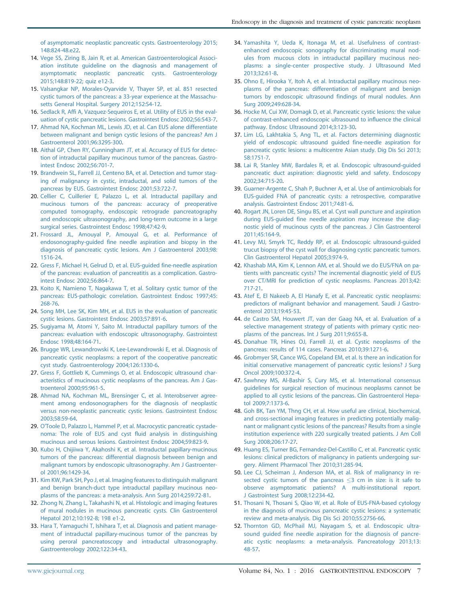<span id="page-6-0"></span>[of asymptomatic neoplastic pancreatic cysts. Gastroenterology 2015;](http://refhub.elsevier.com/S0016-5107(16)30060-8/sref13) [148:824-48.e22.](http://refhub.elsevier.com/S0016-5107(16)30060-8/sref13)

- 14. [Vege SS, Ziring B, Jain R, et al. American Gastroenterological Associ](http://refhub.elsevier.com/S0016-5107(16)30060-8/sref14)[ation institute guideline on the diagnosis and management of](http://refhub.elsevier.com/S0016-5107(16)30060-8/sref14) [asymptomatic neoplastic pancreatic cysts. Gastroenterology](http://refhub.elsevier.com/S0016-5107(16)30060-8/sref14) [2015;148:819-22; quiz e12-3](http://refhub.elsevier.com/S0016-5107(16)30060-8/sref14).
- 15. [Valsangkar NP, Morales-Oyarvide V, Thayer SP, et al. 851 resected](http://refhub.elsevier.com/S0016-5107(16)30060-8/sref15) [cystic tumors of the pancreas: a 33-year experience at the Massachu](http://refhub.elsevier.com/S0016-5107(16)30060-8/sref15)[setts General Hospital. Surgery 2012;152:S4-12](http://refhub.elsevier.com/S0016-5107(16)30060-8/sref15).
- 16. [Sedlack R, Affi A, Vazquez-Sequeiros E, et al. Utility of EUS in the eval](http://refhub.elsevier.com/S0016-5107(16)30060-8/sref16)[uation of cystic pancreatic lesions. Gastrointest Endosc 2002;56:543-7.](http://refhub.elsevier.com/S0016-5107(16)30060-8/sref16)
- 17. [Ahmad NA, Kochman ML, Lewis JD, et al. Can EUS alone differentiate](http://refhub.elsevier.com/S0016-5107(16)30060-8/sref17) [between malignant and benign cystic lesions of the pancreas? Am J](http://refhub.elsevier.com/S0016-5107(16)30060-8/sref17) [Gastroenterol 2001;96:3295-300.](http://refhub.elsevier.com/S0016-5107(16)30060-8/sref17)
- 18. [Aithal GP, Chen RY, Cunningham JT, et al. Accuracy of EUS for detec](http://refhub.elsevier.com/S0016-5107(16)30060-8/sref18)[tion of intraductal papillary mucinous tumor of the pancreas. Gastro](http://refhub.elsevier.com/S0016-5107(16)30060-8/sref18)[intest Endosc 2002;56:701-7](http://refhub.elsevier.com/S0016-5107(16)30060-8/sref18).
- 19. [Brandwein SL, Farrell JJ, Centeno BA, et al. Detection and tumor stag](http://refhub.elsevier.com/S0016-5107(16)30060-8/sref19)[ing of malignancy in cystic, intraductal, and solid tumors of the](http://refhub.elsevier.com/S0016-5107(16)30060-8/sref19) [pancreas by EUS. Gastrointest Endosc 2001;53:722-7](http://refhub.elsevier.com/S0016-5107(16)30060-8/sref19).
- 20. [Cellier C, Cuillerier E, Palazzo L, et al. Intraductal papillary and](http://refhub.elsevier.com/S0016-5107(16)30060-8/sref20) [mucinous tumors of the pancreas: accuracy of preoperative](http://refhub.elsevier.com/S0016-5107(16)30060-8/sref20) [computed tomography, endoscopic retrograde pancreatography](http://refhub.elsevier.com/S0016-5107(16)30060-8/sref20) [and endoscopic ultrasonography, and long-term outcome in a large](http://refhub.elsevier.com/S0016-5107(16)30060-8/sref20) [surgical series. Gastrointest Endosc 1998;47:42-9.](http://refhub.elsevier.com/S0016-5107(16)30060-8/sref20)
- 21. [Frossard JL, Amouyal P, Amouyal G, et al. Performance of](http://refhub.elsevier.com/S0016-5107(16)30060-8/sref21) [endosonography-guided fine needle aspiration and biopsy in the](http://refhub.elsevier.com/S0016-5107(16)30060-8/sref21) [diagnosis of pancreatic cystic lesions. Am J Gastroenterol 2003;98:](http://refhub.elsevier.com/S0016-5107(16)30060-8/sref21) [1516-24](http://refhub.elsevier.com/S0016-5107(16)30060-8/sref21).
- 22. [Gress F, Michael H, Gelrud D, et al. EUS-guided fine-needle aspiration](http://refhub.elsevier.com/S0016-5107(16)30060-8/sref22) [of the pancreas: evaluation of pancreatitis as a complication. Gastro](http://refhub.elsevier.com/S0016-5107(16)30060-8/sref22)[intest Endosc 2002;56:864-7](http://refhub.elsevier.com/S0016-5107(16)30060-8/sref22).
- 23. [Koito K, Namieno T, Nagakawa T, et al. Solitary cystic tumor of the](http://refhub.elsevier.com/S0016-5107(16)30060-8/sref23) [pancreas: EUS-pathologic correlation. Gastrointest Endosc 1997;45:](http://refhub.elsevier.com/S0016-5107(16)30060-8/sref23) [268-76](http://refhub.elsevier.com/S0016-5107(16)30060-8/sref23).
- 24. [Song MH, Lee SK, Kim MH, et al. EUS in the evaluation of pancreatic](http://refhub.elsevier.com/S0016-5107(16)30060-8/sref24) [cystic lesions. Gastrointest Endosc 2003;57:891-6.](http://refhub.elsevier.com/S0016-5107(16)30060-8/sref24)
- 25. [Sugiyama M, Atomi Y, Saito M. Intraductal papillary tumors of the](http://refhub.elsevier.com/S0016-5107(16)30060-8/sref25) [pancreas: evaluation with endoscopic ultrasonography. Gastrointest](http://refhub.elsevier.com/S0016-5107(16)30060-8/sref25) [Endosc 1998;48:164-71](http://refhub.elsevier.com/S0016-5107(16)30060-8/sref25).
- 26. [Brugge WR, Lewandrowski K, Lee-Lewandrowski E, et al. Diagnosis of](http://refhub.elsevier.com/S0016-5107(16)30060-8/sref26) [pancreatic cystic neoplasms: a report of the cooperative pancreatic](http://refhub.elsevier.com/S0016-5107(16)30060-8/sref26) [cyst study. Gastroenterology 2004;126:1330-6](http://refhub.elsevier.com/S0016-5107(16)30060-8/sref26).
- 27. [Gress F, Gottlieb K, Cummings O, et al. Endoscopic ultrasound char](http://refhub.elsevier.com/S0016-5107(16)30060-8/sref27)[acteristics of mucinous cystic neoplasms of the pancreas. Am J Gas](http://refhub.elsevier.com/S0016-5107(16)30060-8/sref27)[troenterol 2000;95:961-5](http://refhub.elsevier.com/S0016-5107(16)30060-8/sref27).
- 28. [Ahmad NA, Kochman ML, Brensinger C, et al. Interobserver agree](http://refhub.elsevier.com/S0016-5107(16)30060-8/sref28)[ment among endosonographers for the diagnosis of neoplastic](http://refhub.elsevier.com/S0016-5107(16)30060-8/sref28) [versus non-neoplastic pancreatic cystic lesions. Gastrointest Endosc](http://refhub.elsevier.com/S0016-5107(16)30060-8/sref28) [2003;58:59-64.](http://refhub.elsevier.com/S0016-5107(16)30060-8/sref28)
- 29. [O'Toole D, Palazzo L, Hammel P, et al. Macrocystic pancreatic cystade](http://refhub.elsevier.com/S0016-5107(16)30060-8/sref29)[noma: The role of EUS and cyst fluid analysis in distinguishing](http://refhub.elsevier.com/S0016-5107(16)30060-8/sref29) [mucinous and serous lesions. Gastrointest Endosc 2004;59:823-9](http://refhub.elsevier.com/S0016-5107(16)30060-8/sref29).
- 30. [Kubo H, Chijiiwa Y, Akahoshi K, et al. Intraductal papillary-mucinous](http://refhub.elsevier.com/S0016-5107(16)30060-8/sref30) [tumors of the pancreas: differential diagnosis between benign and](http://refhub.elsevier.com/S0016-5107(16)30060-8/sref30) [malignant tumors by endoscopic ultrasonography. Am J Gastroenter](http://refhub.elsevier.com/S0016-5107(16)30060-8/sref30)[ol 2001;96:1429-34.](http://refhub.elsevier.com/S0016-5107(16)30060-8/sref30)
- 31. [Kim KW, Park SH, Pyo J, et al. Imaging features to distinguish malignant](http://refhub.elsevier.com/S0016-5107(16)30060-8/sref31) [and benign branch-duct type intraductal papillary mucinous neo](http://refhub.elsevier.com/S0016-5107(16)30060-8/sref31)[plasms of the pancreas: a meta-analysis. Ann Surg 2014;259:72-81](http://refhub.elsevier.com/S0016-5107(16)30060-8/sref31).
- 32. [Zhong N, Zhang L, Takahashi N, et al. Histologic and imaging features](http://refhub.elsevier.com/S0016-5107(16)30060-8/sref32) [of mural nodules in mucinous pancreatic cysts. Clin Gastroenterol](http://refhub.elsevier.com/S0016-5107(16)30060-8/sref32) [Hepatol 2012;10:192-8; 198 e1-2.](http://refhub.elsevier.com/S0016-5107(16)30060-8/sref32)
- 33. [Hara T, Yamaguchi T, Ishihara T, et al. Diagnosis and patient manage](http://refhub.elsevier.com/S0016-5107(16)30060-8/sref33)[ment of intraductal papillary-mucinous tumor of the pancreas by](http://refhub.elsevier.com/S0016-5107(16)30060-8/sref33) [using peroral pancreatoscopy and intraductal ultrasonography.](http://refhub.elsevier.com/S0016-5107(16)30060-8/sref33) [Gastroenterology 2002;122:34-43.](http://refhub.elsevier.com/S0016-5107(16)30060-8/sref33)
- 34. [Yamashita Y, Ueda K, Itonaga M, et al. Usefulness of contrast](http://refhub.elsevier.com/S0016-5107(16)30060-8/sref34)[enhanced endoscopic sonography for discriminating mural nod](http://refhub.elsevier.com/S0016-5107(16)30060-8/sref34)[ules from mucous clots in intraductal papillary mucinous neo](http://refhub.elsevier.com/S0016-5107(16)30060-8/sref34)[plasms: a single-center prospective study. J Ultrasound Med](http://refhub.elsevier.com/S0016-5107(16)30060-8/sref34) [2013;32:61-8.](http://refhub.elsevier.com/S0016-5107(16)30060-8/sref34)
- 35. [Ohno E, Hirooka Y, Itoh A, et al. Intraductal papillary mucinous neo](http://refhub.elsevier.com/S0016-5107(16)30060-8/sref35)[plasms of the pancreas: differentiation of malignant and benign](http://refhub.elsevier.com/S0016-5107(16)30060-8/sref35) [tumors by endoscopic ultrasound findings of mural nodules. Ann](http://refhub.elsevier.com/S0016-5107(16)30060-8/sref35) [Surg 2009;249:628-34](http://refhub.elsevier.com/S0016-5107(16)30060-8/sref35).
- 36. [Hocke M, Cui XW, Domagk D, et al. Pancreatic cystic lesions: the value](http://refhub.elsevier.com/S0016-5107(16)30060-8/sref36) [of contrast-enhanced endoscopic ultrasound to influence the clinical](http://refhub.elsevier.com/S0016-5107(16)30060-8/sref36) [pathway. Endosc Ultrasound 2014;3:123-30.](http://refhub.elsevier.com/S0016-5107(16)30060-8/sref36)
- 37. [Lim LG, Lakhtakia S, Ang TL, et al. Factors determining diagnostic](http://refhub.elsevier.com/S0016-5107(16)30060-8/sref37) [yield of endoscopic ultrasound guided fine-needle aspiration for](http://refhub.elsevier.com/S0016-5107(16)30060-8/sref37) [pancreatic cystic lesions: a multicentre Asian study. Dig Dis Sci 2013;](http://refhub.elsevier.com/S0016-5107(16)30060-8/sref37) [58:1751-7](http://refhub.elsevier.com/S0016-5107(16)30060-8/sref37).
- 38. [Lai R, Stanley MW, Bardales R, et al. Endoscopic ultrasound-guided](http://refhub.elsevier.com/S0016-5107(16)30060-8/sref38) [pancreatic duct aspiration: diagnostic yield and safety. Endoscopy](http://refhub.elsevier.com/S0016-5107(16)30060-8/sref38) [2002;34:715-20](http://refhub.elsevier.com/S0016-5107(16)30060-8/sref38).
- 39. [Guarner-Argente C, Shah P, Buchner A, et al. Use of antimicrobials for](http://refhub.elsevier.com/S0016-5107(16)30060-8/sref39) [EUS-guided FNA of pancreatic cysts: a retrospective, comparative](http://refhub.elsevier.com/S0016-5107(16)30060-8/sref39) [analysis. Gastrointest Endosc 2011;74:81-6](http://refhub.elsevier.com/S0016-5107(16)30060-8/sref39).
- 40. [Rogart JN, Loren DE, Singu BS, et al. Cyst wall puncture and aspiration](http://refhub.elsevier.com/S0016-5107(16)30060-8/sref40) [during EUS-guided fine needle aspiration may increase the diag](http://refhub.elsevier.com/S0016-5107(16)30060-8/sref40)[nostic yield of mucinous cysts of the pancreas. J Clin Gastroenterol](http://refhub.elsevier.com/S0016-5107(16)30060-8/sref40) [2011;45:164-9](http://refhub.elsevier.com/S0016-5107(16)30060-8/sref40).
- 41. [Levy MJ, Smyrk TC, Reddy RP, et al. Endoscopic ultrasound-guided](http://refhub.elsevier.com/S0016-5107(16)30060-8/sref41) [trucut biopsy of the cyst wall for diagnosing cystic pancreatic tumors.](http://refhub.elsevier.com/S0016-5107(16)30060-8/sref41) [Clin Gastroenterol Hepatol 2005;3:974-9.](http://refhub.elsevier.com/S0016-5107(16)30060-8/sref41)
- 42. [Khashab MA, Kim K, Lennon AM, et al. Should we do EUS/FNA on pa](http://refhub.elsevier.com/S0016-5107(16)30060-8/sref42)[tients with pancreatic cysts? The incremental diagnostic yield of EUS](http://refhub.elsevier.com/S0016-5107(16)30060-8/sref42) [over CT/MRI for prediction of cystic neoplasms. Pancreas 2013;42:](http://refhub.elsevier.com/S0016-5107(16)30060-8/sref42) [717-21.](http://refhub.elsevier.com/S0016-5107(16)30060-8/sref42)
- 43. [Atef E, El Nakeeb A, El Hanafy E, et al. Pancreatic cystic neoplasms:](http://refhub.elsevier.com/S0016-5107(16)30060-8/sref43) [predictors of malignant behavior and management. Saudi J Gastro](http://refhub.elsevier.com/S0016-5107(16)30060-8/sref43)[enterol 2013;19:45-53](http://refhub.elsevier.com/S0016-5107(16)30060-8/sref43).
- 44. [de Castro SM, Houwert JT, van der Gaag NA, et al. Evaluation of a](http://refhub.elsevier.com/S0016-5107(16)30060-8/sref44) [selective management strategy of patients with primary cystic neo](http://refhub.elsevier.com/S0016-5107(16)30060-8/sref44)[plasms of the pancreas. Int J Surg 2011;9:655-8](http://refhub.elsevier.com/S0016-5107(16)30060-8/sref44).
- 45. [Donahue TR, Hines OJ, Farrell JJ, et al. Cystic neoplasms of the](http://refhub.elsevier.com/S0016-5107(16)30060-8/sref45) [pancreas: results of 114 cases. Pancreas 2010;39:1271-6](http://refhub.elsevier.com/S0016-5107(16)30060-8/sref45).
- 46. [Grobmyer SR, Cance WG, Copeland EM, et al. Is there an indication for](http://refhub.elsevier.com/S0016-5107(16)30060-8/sref46) [initial conservative management of pancreatic cystic lesions? J Surg](http://refhub.elsevier.com/S0016-5107(16)30060-8/sref46) [Oncol 2009;100:372-4](http://refhub.elsevier.com/S0016-5107(16)30060-8/sref46).
- 47. [Sawhney MS, Al-Bashir S, Cury MS, et al. International consensus](http://refhub.elsevier.com/S0016-5107(16)30060-8/sref47) [guidelines for surgical resection of mucinous neoplasms cannot be](http://refhub.elsevier.com/S0016-5107(16)30060-8/sref47) [applied to all cystic lesions of the pancreas. Clin Gastroenterol Hepa](http://refhub.elsevier.com/S0016-5107(16)30060-8/sref47)[tol 2009;7:1373-6.](http://refhub.elsevier.com/S0016-5107(16)30060-8/sref47)
- 48. [Goh BK, Tan YM, Thng CH, et al. How useful are clinical, biochemical,](http://refhub.elsevier.com/S0016-5107(16)30060-8/sref48) [and cross-sectional imaging features in predicting potentially malig](http://refhub.elsevier.com/S0016-5107(16)30060-8/sref48)[nant or malignant cystic lesions of the pancreas? Results from a single](http://refhub.elsevier.com/S0016-5107(16)30060-8/sref48) [institution experience with 220 surgically treated patients. J Am Coll](http://refhub.elsevier.com/S0016-5107(16)30060-8/sref48) [Surg 2008;206:17-27](http://refhub.elsevier.com/S0016-5107(16)30060-8/sref48).
- 49. [Huang ES, Turner BG, Fernandez-Del-Castillo C, et al. Pancreatic cystic](http://refhub.elsevier.com/S0016-5107(16)30060-8/sref49) [lesions: clinical predictors of malignancy in patients undergoing sur](http://refhub.elsevier.com/S0016-5107(16)30060-8/sref49)[gery. Aliment Pharmacol Ther 2010;31:285-94](http://refhub.elsevier.com/S0016-5107(16)30060-8/sref49).
- 50. [Lee CJ, Scheiman J, Anderson MA, et al. Risk of malignancy in re](http://refhub.elsevier.com/S0016-5107(16)30060-8/sref50)[sected cystic tumors of the pancreas](http://refhub.elsevier.com/S0016-5107(16)30060-8/sref50)  $\leq$ [3 cm in size: is it safe to](http://refhub.elsevier.com/S0016-5107(16)30060-8/sref50) [observe asymptomatic patients? A multi-institutional report.](http://refhub.elsevier.com/S0016-5107(16)30060-8/sref50) [J Gastrointest Surg 2008;12:234-42](http://refhub.elsevier.com/S0016-5107(16)30060-8/sref50).
- 51. [Thosani N, Thosani S, Qiao W, et al. Role of EUS-FNA-based cytology](http://refhub.elsevier.com/S0016-5107(16)30060-8/sref52) [in the diagnosis of mucinous pancreatic cystic lesions: a systematic](http://refhub.elsevier.com/S0016-5107(16)30060-8/sref52) [review and meta-analysis. Dig Dis Sci 2010;55:2756-66](http://refhub.elsevier.com/S0016-5107(16)30060-8/sref52).
- 52. [Thornton GD, McPhail MJ, Nayagam S, et al. Endoscopic ultra](http://refhub.elsevier.com/S0016-5107(16)30060-8/sref53)[sound guided fine needle aspiration for the diagnosis of pancre](http://refhub.elsevier.com/S0016-5107(16)30060-8/sref53)[atic cystic neoplasms: a meta-analysis. Pancreatology 2013;13:](http://refhub.elsevier.com/S0016-5107(16)30060-8/sref53) [48-57](http://refhub.elsevier.com/S0016-5107(16)30060-8/sref53).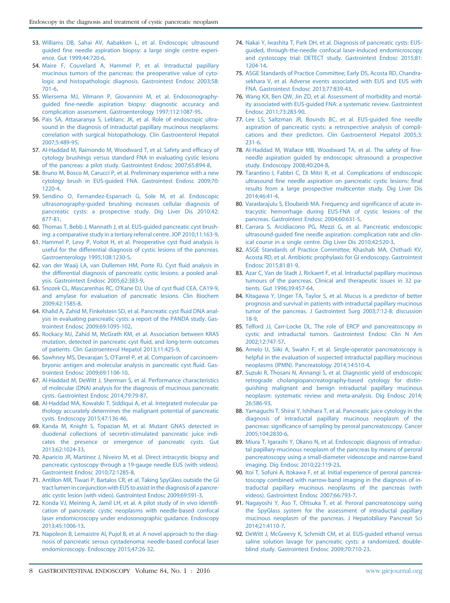- <span id="page-7-0"></span>53. [Williams DB, Sahai AV, Aabakken L, et al. Endoscopic ultrasound](http://refhub.elsevier.com/S0016-5107(16)30060-8/sref54) [guided fine needle aspiration biopsy: a large single centre experi](http://refhub.elsevier.com/S0016-5107(16)30060-8/sref54)[ence. Gut 1999;44:720-6.](http://refhub.elsevier.com/S0016-5107(16)30060-8/sref54)
- 54. [Maire F, Couvelard A, Hammel P, et al. Intraductal papillary](http://refhub.elsevier.com/S0016-5107(16)30060-8/sref55) [mucinous tumors of the pancreas: the preoperative value of cyto](http://refhub.elsevier.com/S0016-5107(16)30060-8/sref55)[logic and histopathologic diagnosis. Gastrointest Endosc 2003;58:](http://refhub.elsevier.com/S0016-5107(16)30060-8/sref55) [701-6.](http://refhub.elsevier.com/S0016-5107(16)30060-8/sref55)
- 55. [Wiersema MJ, Vilmann P, Giovannini M, et al. Endosonography](http://refhub.elsevier.com/S0016-5107(16)30060-8/sref56)[guided fine-needle aspiration biopsy: diagnostic accuracy and](http://refhub.elsevier.com/S0016-5107(16)30060-8/sref56) [complication assessment. Gastroenterology 1997;112:1087-95](http://refhub.elsevier.com/S0016-5107(16)30060-8/sref56).
- 56. [Pais SA, Attasaranya S, Leblanc JK, et al. Role of endoscopic ultra](http://refhub.elsevier.com/S0016-5107(16)30060-8/sref57)[sound in the diagnosis of intraductal papillary mucinous neoplasms:](http://refhub.elsevier.com/S0016-5107(16)30060-8/sref57) [correlation with surgical histopathology. Clin Gastroenterol Hepatol](http://refhub.elsevier.com/S0016-5107(16)30060-8/sref57) [2007;5:489-95.](http://refhub.elsevier.com/S0016-5107(16)30060-8/sref57)
- 57. [Al-Haddad M, Raimondo M, Woodward T, et al. Safety and efficacy of](http://refhub.elsevier.com/S0016-5107(16)30060-8/sref58) [cytology brushings versus standard FNA in evaluating cystic lesions](http://refhub.elsevier.com/S0016-5107(16)30060-8/sref58) [of the pancreas: a pilot study. Gastrointest Endosc 2007;65:894-8](http://refhub.elsevier.com/S0016-5107(16)30060-8/sref58).
- 58. [Bruno M, Bosco M, Carucci P, et al. Preliminary experience with a new](http://refhub.elsevier.com/S0016-5107(16)30060-8/sref59) [cytology brush in EUS-guided FNA. Gastrointest Endosc 2009;70:](http://refhub.elsevier.com/S0016-5107(16)30060-8/sref59) [1220-4](http://refhub.elsevier.com/S0016-5107(16)30060-8/sref59).
- 59. [Sendino O, Fernandez-Esparrach G, Sole M, et al. Endoscopic](http://refhub.elsevier.com/S0016-5107(16)30060-8/sref60) [ultrasonography-guided brushing increases cellular diagnosis of](http://refhub.elsevier.com/S0016-5107(16)30060-8/sref60) [pancreatic cysts: a prospective study. Dig Liver Dis 2010;42:](http://refhub.elsevier.com/S0016-5107(16)30060-8/sref60) [877-81.](http://refhub.elsevier.com/S0016-5107(16)30060-8/sref60)
- 60. [Thomas T, Bebb J, Mannath J, et al. EUS-guided pancreatic cyst brush](http://refhub.elsevier.com/S0016-5107(16)30060-8/sref61)[ing: a comparative study in a tertiary referral centre. JOP 2010;11:163-9](http://refhub.elsevier.com/S0016-5107(16)30060-8/sref61).
- 61. [Hammel P, Levy P, Voitot H, et al. Preoperative cyst fluid analysis is](http://refhub.elsevier.com/S0016-5107(16)30060-8/sref62) [useful for the differential diagnosis of cystic lesions of the pancreas.](http://refhub.elsevier.com/S0016-5107(16)30060-8/sref62) [Gastroenterology 1995;108:1230-5](http://refhub.elsevier.com/S0016-5107(16)30060-8/sref62).
- 62. [van der Waaij LA, van Dullemen HM, Porte RJ. Cyst fluid analysis in](http://refhub.elsevier.com/S0016-5107(16)30060-8/sref63) [the differential diagnosis of pancreatic cystic lesions: a pooled anal](http://refhub.elsevier.com/S0016-5107(16)30060-8/sref63)[ysis. Gastrointest Endosc 2005;62:383-9.](http://refhub.elsevier.com/S0016-5107(16)30060-8/sref63)
- 63. [Snozek CL, Mascarenhas RC, O'Kane DJ. Use of cyst fluid CEA, CA19-9,](http://refhub.elsevier.com/S0016-5107(16)30060-8/sref64) [and amylase for evaluation of pancreatic lesions. Clin Biochem](http://refhub.elsevier.com/S0016-5107(16)30060-8/sref64) [2009;42:1585-8.](http://refhub.elsevier.com/S0016-5107(16)30060-8/sref64)
- 64. [Khalid A, Zahid M, Finkelstein SD, et al. Pancreatic cyst fluid DNA anal](http://refhub.elsevier.com/S0016-5107(16)30060-8/sref65)[ysis in evaluating pancreatic cysts: a report of the PANDA study. Gas](http://refhub.elsevier.com/S0016-5107(16)30060-8/sref65)[trointest Endosc 2009;69:1095-102.](http://refhub.elsevier.com/S0016-5107(16)30060-8/sref65)
- 65. [Rockacy MJ, Zahid M, McGrath KM, et al. Association between KRAS](http://refhub.elsevier.com/S0016-5107(16)30060-8/sref66) [mutation, detected in pancreatic cyst fluid, and long-term outcomes](http://refhub.elsevier.com/S0016-5107(16)30060-8/sref66) [of patients. Clin Gastroenterol Hepatol 2013;11:425-9.](http://refhub.elsevier.com/S0016-5107(16)30060-8/sref66)
- 66. [Sawhney MS, Devarajan S, O'Farrel P, et al. Comparison of carcinoem](http://refhub.elsevier.com/S0016-5107(16)30060-8/sref67)[bryonic antigen and molecular analysis in pancreatic cyst fluid. Gas](http://refhub.elsevier.com/S0016-5107(16)30060-8/sref67)[trointest Endosc 2009;69:1106-10.](http://refhub.elsevier.com/S0016-5107(16)30060-8/sref67)
- 67. [Al-Haddad M, DeWitt J, Sherman S, et al. Performance characteristics](http://refhub.elsevier.com/S0016-5107(16)30060-8/sref68) [of molecular \(DNA\) analysis for the diagnosis of mucinous pancreatic](http://refhub.elsevier.com/S0016-5107(16)30060-8/sref68) [cysts. Gastrointest Endosc 2014;79:79-87](http://refhub.elsevier.com/S0016-5107(16)30060-8/sref68).
- 68. [Al-Haddad MA, Kowalski T, Siddiqui A, et al. Integrated molecular pa](http://refhub.elsevier.com/S0016-5107(16)30060-8/sref69)[thology accurately determines the malignant potential of pancreatic](http://refhub.elsevier.com/S0016-5107(16)30060-8/sref69) [cysts. Endoscopy 2015;47:136-46](http://refhub.elsevier.com/S0016-5107(16)30060-8/sref69).
- 69. [Kanda M, Knight S, Topazian M, et al. Mutant GNAS detected in](http://refhub.elsevier.com/S0016-5107(16)30060-8/sref70) [duodenal collections of secretin-stimulated pancreatic juice indi](http://refhub.elsevier.com/S0016-5107(16)30060-8/sref70)[cates the presence or emergence of pancreatic cysts. Gut](http://refhub.elsevier.com/S0016-5107(16)30060-8/sref70) [2013;62:1024-33.](http://refhub.elsevier.com/S0016-5107(16)30060-8/sref70)
- 70. [Aparicio JR, Martinez J, Niveiro M, et al. Direct intracystic biopsy and](http://refhub.elsevier.com/S0016-5107(16)30060-8/sref71) [pancreatic cystoscopy through a 19-gauge needle EUS \(with videos\).](http://refhub.elsevier.com/S0016-5107(16)30060-8/sref71) [Gastrointest Endosc 2010;72:1285-8.](http://refhub.elsevier.com/S0016-5107(16)30060-8/sref71)
- 71. [Antillon MR, Tiwari P, Bartalos CR, et al. Taking SpyGlass outside the GI](http://refhub.elsevier.com/S0016-5107(16)30060-8/sref72) [tract lumen in conjunction with EUS to assist in the diagnosis of a pancre](http://refhub.elsevier.com/S0016-5107(16)30060-8/sref72)[atic cystic lesion \(with video\). Gastrointest Endosc 2009;69:591-3](http://refhub.elsevier.com/S0016-5107(16)30060-8/sref72).
- 72. [Konda VJ, Meining A, Jamil LH, et al. A pilot study of in vivo identifi](http://refhub.elsevier.com/S0016-5107(16)30060-8/sref73)[cation of pancreatic cystic neoplasms with needle-based confocal](http://refhub.elsevier.com/S0016-5107(16)30060-8/sref73) [laser endomicroscopy under endosonographic guidance. Endoscopy](http://refhub.elsevier.com/S0016-5107(16)30060-8/sref73) [2013;45:1006-13.](http://refhub.elsevier.com/S0016-5107(16)30060-8/sref73)
- 73. [Napoleon B, Lemaistre AI, Pujol B, et al. A novel approach to the diag](http://refhub.elsevier.com/S0016-5107(16)30060-8/sref74)[nosis of pancreatic serous cystadenoma: needle-based confocal laser](http://refhub.elsevier.com/S0016-5107(16)30060-8/sref74) [endomicroscopy. Endoscopy 2015;47:26-32](http://refhub.elsevier.com/S0016-5107(16)30060-8/sref74).
- 74. [Nakai Y, Iwashita T, Park DH, et al. Diagnosis of pancreatic cysts: EUS](http://refhub.elsevier.com/S0016-5107(16)30060-8/sref75)[guided, through-the-needle confocal laser-induced endomicroscopy](http://refhub.elsevier.com/S0016-5107(16)30060-8/sref75) [and cystoscopy trial: DETECT study. Gastrointest Endosc 2015;81:](http://refhub.elsevier.com/S0016-5107(16)30060-8/sref75) [1204-14.](http://refhub.elsevier.com/S0016-5107(16)30060-8/sref75)
- 75. [ASGE Standards of Practice Committee; Early DS, Acosta RD, Chandra](http://refhub.elsevier.com/S0016-5107(16)30060-8/sref76)[sekhara V, et al. Adverse events associated with EUS and EUS with](http://refhub.elsevier.com/S0016-5107(16)30060-8/sref76) [FNA. Gastrointest Endosc 2013;77:839-43.](http://refhub.elsevier.com/S0016-5107(16)30060-8/sref76)
- 76. [Wang KX, Ben QW, Jin ZD, et al. Assessment of morbidity and mortal](http://refhub.elsevier.com/S0016-5107(16)30060-8/sref77)[ity associated with EUS-guided FNA: a systematic review. Gastrointest](http://refhub.elsevier.com/S0016-5107(16)30060-8/sref77) [Endosc 2011;73:283-90.](http://refhub.elsevier.com/S0016-5107(16)30060-8/sref77)
- 77. [Lee LS, Saltzman JR, Bounds BC, et al. EUS-guided fine needle](http://refhub.elsevier.com/S0016-5107(16)30060-8/sref78) [aspiration of pancreatic cysts: a retrospective analysis of compli](http://refhub.elsevier.com/S0016-5107(16)30060-8/sref78)[cations and their predictors. Clin Gastroenterol Hepatol 2005;3:](http://refhub.elsevier.com/S0016-5107(16)30060-8/sref78) [231-6](http://refhub.elsevier.com/S0016-5107(16)30060-8/sref78).
- 78. [Al-Haddad M, Wallace MB, Woodward TA, et al. The safety of fine](http://refhub.elsevier.com/S0016-5107(16)30060-8/sref79)[needle aspiration guided by endoscopic ultrasound: a prospective](http://refhub.elsevier.com/S0016-5107(16)30060-8/sref79) [study. Endoscopy 2008;40:204-8.](http://refhub.elsevier.com/S0016-5107(16)30060-8/sref79)
- 79. [Tarantino I, Fabbri C, Di Mitri R, et al. Complications of endoscopic](http://refhub.elsevier.com/S0016-5107(16)30060-8/sref80) [ultrasound fine needle aspiration on pancreatic cystic lesions: final](http://refhub.elsevier.com/S0016-5107(16)30060-8/sref80) [results from a large prospective multicenter study. Dig Liver Dis](http://refhub.elsevier.com/S0016-5107(16)30060-8/sref80) [2014;46:41-4](http://refhub.elsevier.com/S0016-5107(16)30060-8/sref80).
- 80. [Varadarajulu S, Eloubeidi MA. Frequency and significance of acute in](http://refhub.elsevier.com/S0016-5107(16)30060-8/sref81)[tracystic hemorrhage during EUS-FNA of cystic lesions of the](http://refhub.elsevier.com/S0016-5107(16)30060-8/sref81) [pancreas. Gastrointest Endosc 2004;60:631-5](http://refhub.elsevier.com/S0016-5107(16)30060-8/sref81).
- 81. [Carrara S, Arcidiacono PG, Mezzi G, et al. Pancreatic endoscopic](http://refhub.elsevier.com/S0016-5107(16)30060-8/sref82) [ultrasound-guided fine needle aspiration: complication rate and clin](http://refhub.elsevier.com/S0016-5107(16)30060-8/sref82)[ical course in a single centre. Dig Liver Dis 2010;42:520-3.](http://refhub.elsevier.com/S0016-5107(16)30060-8/sref82)
- 82. [ASGE Standards of Practice Committee; Khashab MA, Chithadi KV,](http://refhub.elsevier.com/S0016-5107(16)30060-8/sref83) [Acosta RD, et al. Antibiotic prophylaxis for GI endoscopy. Gastrointest](http://refhub.elsevier.com/S0016-5107(16)30060-8/sref83) [Endosc 2015;81:81-9.](http://refhub.elsevier.com/S0016-5107(16)30060-8/sref83)
- 83. [Azar C, Van de Stadt J, Rickaert F, et al. Intraductal papillary mucinous](http://refhub.elsevier.com/S0016-5107(16)30060-8/sref84) [tumours of the pancreas. Clinical and therapeutic issues in 32 pa](http://refhub.elsevier.com/S0016-5107(16)30060-8/sref84)[tients. Gut 1996;39:457-64.](http://refhub.elsevier.com/S0016-5107(16)30060-8/sref84)
- 84. [Kitagawa Y, Unger TA, Taylor S, et al. Mucus is a predictor of better](http://refhub.elsevier.com/S0016-5107(16)30060-8/sref85) [prognosis and survival in patients with intraductal papillary mucinous](http://refhub.elsevier.com/S0016-5107(16)30060-8/sref85) [tumor of the pancreas. J Gastrointest Surg 2003;7:12-8; discussion](http://refhub.elsevier.com/S0016-5107(16)30060-8/sref85) [18-9.](http://refhub.elsevier.com/S0016-5107(16)30060-8/sref85)
- 85. [Telford JJ, Carr-Locke DL. The role of ERCP and pancreatoscopy in](http://refhub.elsevier.com/S0016-5107(16)30060-8/sref86) [cystic and intraductal tumors. Gastrointest Endosc Clin N Am](http://refhub.elsevier.com/S0016-5107(16)30060-8/sref86) [2002;12:747-57](http://refhub.elsevier.com/S0016-5107(16)30060-8/sref86).
- 86. [Arnelo U, Siiki A, Swahn F, et al. Single-operator pancreatoscopy is](http://refhub.elsevier.com/S0016-5107(16)30060-8/sref87) [helpful in the evaluation of suspected intraductal papillary mucinous](http://refhub.elsevier.com/S0016-5107(16)30060-8/sref87) [neoplasms \(IPMN\). Pancreatology 2014;14:510-4](http://refhub.elsevier.com/S0016-5107(16)30060-8/sref87).
- 87. [Suzuki R, Thosani N, Annangi S, et al. Diagnostic yield of endoscopic](http://refhub.elsevier.com/S0016-5107(16)30060-8/sref88) [retrograde cholangiopancreatography-based cytology for distin](http://refhub.elsevier.com/S0016-5107(16)30060-8/sref88)[guishing malignant and benign intraductal papillary mucinous](http://refhub.elsevier.com/S0016-5107(16)30060-8/sref88) [neoplasm: systematic review and meta-analysis. Dig Endosc 2014;](http://refhub.elsevier.com/S0016-5107(16)30060-8/sref88) [26:586-93.](http://refhub.elsevier.com/S0016-5107(16)30060-8/sref88)
- 88. [Yamaguchi T, Shirai Y, Ishihara T, et al. Pancreatic juice cytology in the](http://refhub.elsevier.com/S0016-5107(16)30060-8/sref89) [diagnosis of intraductal papillary mucinous neoplasm of the](http://refhub.elsevier.com/S0016-5107(16)30060-8/sref89) [pancreas: significance of sampling by peroral pancreatoscopy. Cancer](http://refhub.elsevier.com/S0016-5107(16)30060-8/sref89) [2005;104:2830-6](http://refhub.elsevier.com/S0016-5107(16)30060-8/sref89).
- 89. [Miura T, Igarashi Y, Okano N, et al. Endoscopic diagnosis of intraduc](http://refhub.elsevier.com/S0016-5107(16)30060-8/sref90)[tal papillary-mucinous neoplasm of the pancreas by means of peroral](http://refhub.elsevier.com/S0016-5107(16)30060-8/sref90) [pancreatoscopy using a small-diameter videoscope and narrow-band](http://refhub.elsevier.com/S0016-5107(16)30060-8/sref90) [imaging. Dig Endosc 2010;22:119-23](http://refhub.elsevier.com/S0016-5107(16)30060-8/sref90).
- 90. [Itoi T, Sofuni A, Itokawa F, et al. Initial experience of peroral pancrea](http://refhub.elsevier.com/S0016-5107(16)30060-8/sref91)[toscopy combined with narrow-band imaging in the diagnosis of in](http://refhub.elsevier.com/S0016-5107(16)30060-8/sref91)[traductal papillary mucinous neoplasms of the pancreas \(with](http://refhub.elsevier.com/S0016-5107(16)30060-8/sref91) [videos\). Gastrointest Endosc 2007;66:793-7](http://refhub.elsevier.com/S0016-5107(16)30060-8/sref91).
- 91. [Nagayoshi Y, Aso T, Ohtsuka T, et al. Peroral pancreatoscopy using](http://refhub.elsevier.com/S0016-5107(16)30060-8/sref92) [the SpyGlass system for the assessment of intraductal papillary](http://refhub.elsevier.com/S0016-5107(16)30060-8/sref92) [mucinous neoplasm of the pancreas. J Hepatobiliary Pancreat Sci](http://refhub.elsevier.com/S0016-5107(16)30060-8/sref92) [2014;21:4110-7](http://refhub.elsevier.com/S0016-5107(16)30060-8/sref92).
- 92. [DeWitt J, McGreevy K, Schmidt CM, et al. EUS-guided ethanol versus](http://refhub.elsevier.com/S0016-5107(16)30060-8/sref93) [saline solution lavage for pancreatic cysts: a randomized, double](http://refhub.elsevier.com/S0016-5107(16)30060-8/sref93)[blind study. Gastrointest Endosc 2009;70:710-23.](http://refhub.elsevier.com/S0016-5107(16)30060-8/sref93)